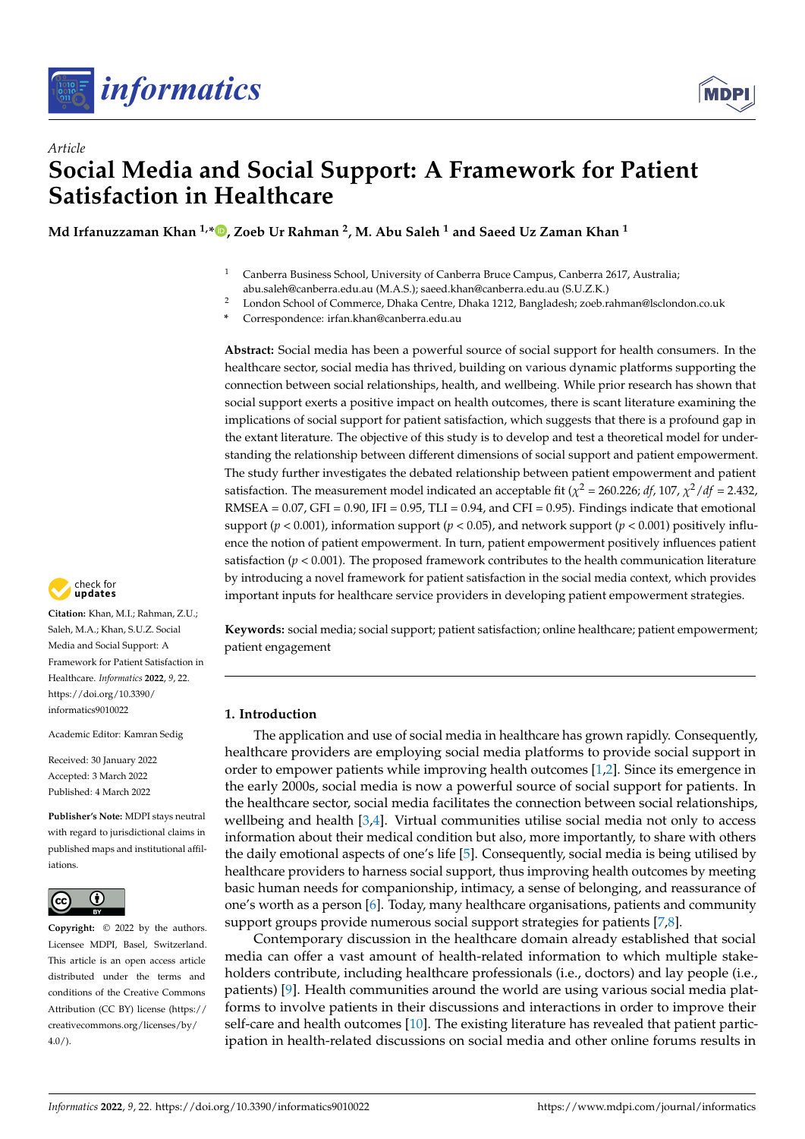

*Article*



# **Social Media and Social Support: A Framework for Patient Satisfaction in Healthcare**

**Md Irfanuzzaman Khan 1,\* [,](https://orcid.org/0000-0003-2671-7053) Zoeb Ur Rahman <sup>2</sup> , M. Abu Saleh <sup>1</sup> and Saeed Uz Zaman Khan <sup>1</sup>**

- <sup>1</sup> Canberra Business School, University of Canberra Bruce Campus, Canberra 2617, Australia; abu.saleh@canberra.edu.au (M.A.S.); saeed.khan@canberra.edu.au (S.U.Z.K.)
- <sup>2</sup> London School of Commerce, Dhaka Centre, Dhaka 1212, Bangladesh; zoeb.rahman@lsclondon.co.uk
- **\*** Correspondence: irfan.khan@canberra.edu.au

**Abstract:** Social media has been a powerful source of social support for health consumers. In the healthcare sector, social media has thrived, building on various dynamic platforms supporting the connection between social relationships, health, and wellbeing. While prior research has shown that social support exerts a positive impact on health outcomes, there is scant literature examining the implications of social support for patient satisfaction, which suggests that there is a profound gap in the extant literature. The objective of this study is to develop and test a theoretical model for understanding the relationship between different dimensions of social support and patient empowerment. The study further investigates the debated relationship between patient empowerment and patient satisfaction. The measurement model indicated an acceptable fit ( $\chi^2$  = 260.226; *df,* 107,  $\chi^2$  /*df* = 2.432, RMSEA =  $0.07$ , GFI =  $0.90$ , IFI =  $0.95$ , TLI =  $0.94$ , and CFI =  $0.95$ ). Findings indicate that emotional support ( $p$  < 0.001), information support ( $p$  < 0.05), and network support ( $p$  < 0.001) positively influence the notion of patient empowerment. In turn, patient empowerment positively influences patient satisfaction ( $p < 0.001$ ). The proposed framework contributes to the health communication literature by introducing a novel framework for patient satisfaction in the social media context, which provides important inputs for healthcare service providers in developing patient empowerment strategies.

**Keywords:** social media; social support; patient satisfaction; online healthcare; patient empowerment; patient engagement

## **1. Introduction**

The application and use of social media in healthcare has grown rapidly. Consequently, healthcare providers are employing social media platforms to provide social support in order to empower patients while improving health outcomes [\[1](#page-10-0)[,2\]](#page-10-1). Since its emergence in the early 2000s, social media is now a powerful source of social support for patients. In the healthcare sector, social media facilitates the connection between social relationships, wellbeing and health  $[3,4]$  $[3,4]$ . Virtual communities utilise social media not only to access information about their medical condition but also, more importantly, to share with others the daily emotional aspects of one's life [\[5\]](#page-10-4). Consequently, social media is being utilised by healthcare providers to harness social support, thus improving health outcomes by meeting basic human needs for companionship, intimacy, a sense of belonging, and reassurance of one's worth as a person [\[6\]](#page-10-5). Today, many healthcare organisations, patients and community support groups provide numerous social support strategies for patients [\[7,](#page-10-6)[8\]](#page-10-7).

Contemporary discussion in the healthcare domain already established that social media can offer a vast amount of health-related information to which multiple stakeholders contribute, including healthcare professionals (i.e., doctors) and lay people (i.e., patients) [\[9\]](#page-10-8). Health communities around the world are using various social media platforms to involve patients in their discussions and interactions in order to improve their self-care and health outcomes [\[10\]](#page-11-0). The existing literature has revealed that patient participation in health-related discussions on social media and other online forums results in



**Citation:** Khan, M.I.; Rahman, Z.U.; Saleh, M.A.; Khan, S.U.Z. Social Media and Social Support: A Framework for Patient Satisfaction in Healthcare. *Informatics* **2022**, *9*, 22. [https://doi.org/10.3390/](https://doi.org/10.3390/informatics9010022) [informatics9010022](https://doi.org/10.3390/informatics9010022)

Academic Editor: Kamran Sedig

Received: 30 January 2022 Accepted: 3 March 2022 Published: 4 March 2022

**Publisher's Note:** MDPI stays neutral with regard to jurisdictional claims in published maps and institutional affiliations.



**Copyright:** © 2022 by the authors. Licensee MDPI, Basel, Switzerland. This article is an open access article distributed under the terms and conditions of the Creative Commons Attribution (CC BY) license [\(https://](https://creativecommons.org/licenses/by/4.0/) [creativecommons.org/licenses/by/](https://creativecommons.org/licenses/by/4.0/)  $4.0/$ ).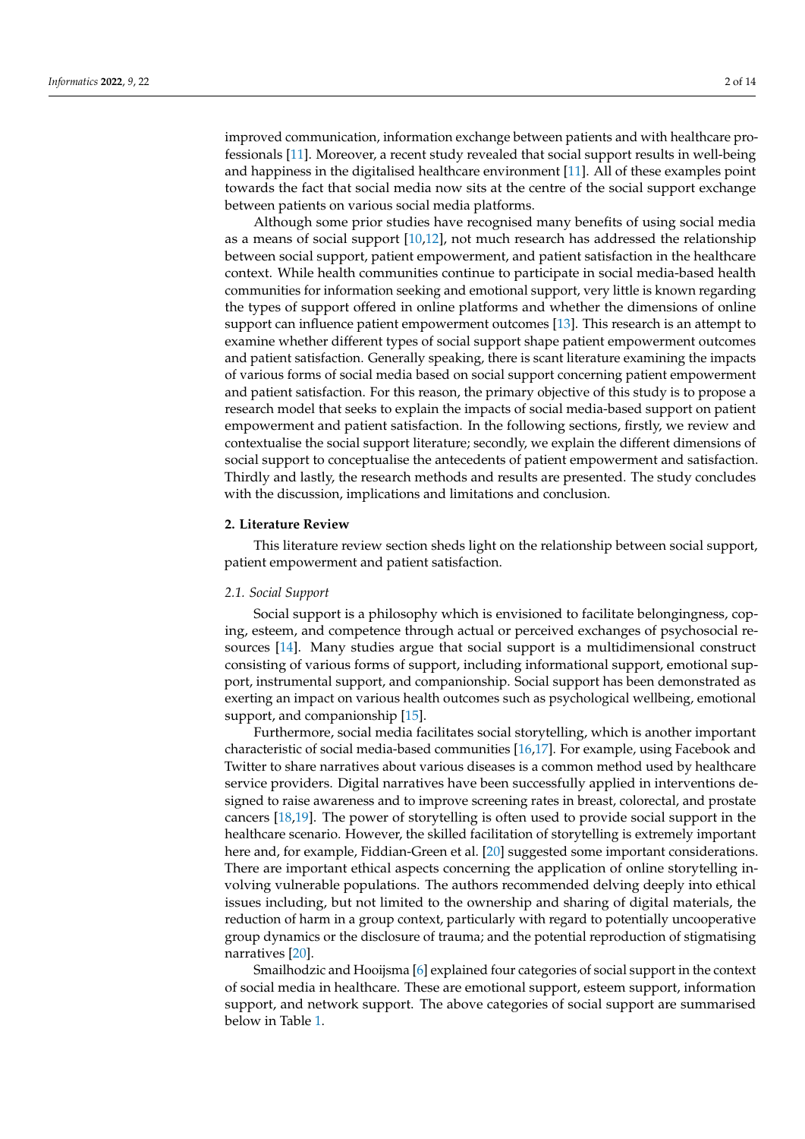improved communication, information exchange between patients and with healthcare professionals [\[11\]](#page-11-1). Moreover, a recent study revealed that social support results in well-being and happiness in the digitalised healthcare environment [\[11\]](#page-11-1). All of these examples point towards the fact that social media now sits at the centre of the social support exchange between patients on various social media platforms.

Although some prior studies have recognised many benefits of using social media as a means of social support [\[10,](#page-11-0)[12\]](#page-11-2), not much research has addressed the relationship between social support, patient empowerment, and patient satisfaction in the healthcare context. While health communities continue to participate in social media-based health communities for information seeking and emotional support, very little is known regarding the types of support offered in online platforms and whether the dimensions of online support can influence patient empowerment outcomes [\[13\]](#page-11-3). This research is an attempt to examine whether different types of social support shape patient empowerment outcomes and patient satisfaction. Generally speaking, there is scant literature examining the impacts of various forms of social media based on social support concerning patient empowerment and patient satisfaction. For this reason, the primary objective of this study is to propose a research model that seeks to explain the impacts of social media-based support on patient empowerment and patient satisfaction. In the following sections, firstly, we review and contextualise the social support literature; secondly, we explain the different dimensions of social support to conceptualise the antecedents of patient empowerment and satisfaction. Thirdly and lastly, the research methods and results are presented. The study concludes with the discussion, implications and limitations and conclusion.

## **2. Literature Review**

This literature review section sheds light on the relationship between social support, patient empowerment and patient satisfaction.

#### *2.1. Social Support*

Social support is a philosophy which is envisioned to facilitate belongingness, coping, esteem, and competence through actual or perceived exchanges of psychosocial resources [\[14\]](#page-11-4). Many studies argue that social support is a multidimensional construct consisting of various forms of support, including informational support, emotional support, instrumental support, and companionship. Social support has been demonstrated as exerting an impact on various health outcomes such as psychological wellbeing, emotional support, and companionship [\[15\]](#page-11-5).

Furthermore, social media facilitates social storytelling, which is another important characteristic of social media-based communities [\[16,](#page-11-6)[17\]](#page-11-7). For example, using Facebook and Twitter to share narratives about various diseases is a common method used by healthcare service providers. Digital narratives have been successfully applied in interventions designed to raise awareness and to improve screening rates in breast, colorectal, and prostate cancers [\[18](#page-11-8)[,19\]](#page-11-9). The power of storytelling is often used to provide social support in the healthcare scenario. However, the skilled facilitation of storytelling is extremely important here and, for example, Fiddian-Green et al. [\[20\]](#page-11-10) suggested some important considerations. There are important ethical aspects concerning the application of online storytelling involving vulnerable populations. The authors recommended delving deeply into ethical issues including, but not limited to the ownership and sharing of digital materials, the reduction of harm in a group context, particularly with regard to potentially uncooperative group dynamics or the disclosure of trauma; and the potential reproduction of stigmatising narratives [\[20\]](#page-11-10).

Smailhodzic and Hooijsma [\[6\]](#page-10-5) explained four categories of social support in the context of social media in healthcare. These are emotional support, esteem support, information support, and network support. The above categories of social support are summarised below in Table [1.](#page-2-0)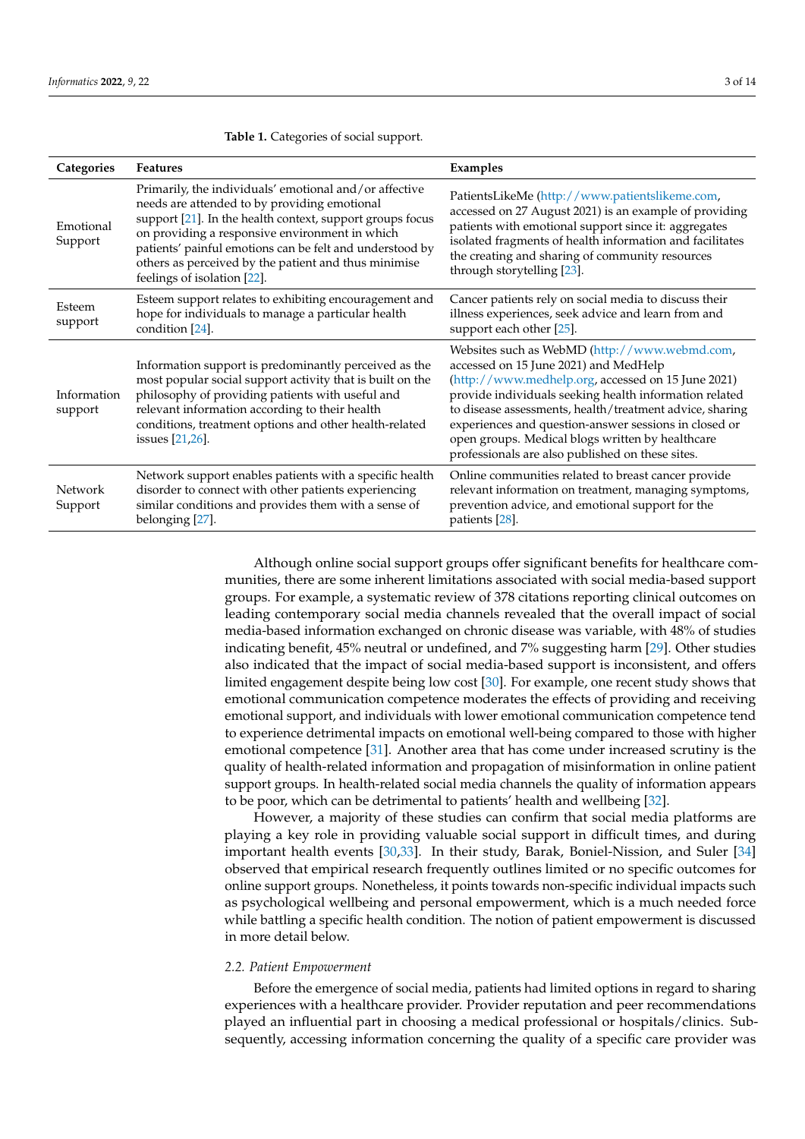| Categories             | <b>Features</b>                                                                                                                                                                                                                                                                                                                                                          | Examples                                                                                                                                                                                                                                                                                                                                                                                                                            |  |  |
|------------------------|--------------------------------------------------------------------------------------------------------------------------------------------------------------------------------------------------------------------------------------------------------------------------------------------------------------------------------------------------------------------------|-------------------------------------------------------------------------------------------------------------------------------------------------------------------------------------------------------------------------------------------------------------------------------------------------------------------------------------------------------------------------------------------------------------------------------------|--|--|
| Emotional<br>Support   | Primarily, the individuals' emotional and/or affective<br>needs are attended to by providing emotional<br>support [21]. In the health context, support groups focus<br>on providing a responsive environment in which<br>patients' painful emotions can be felt and understood by<br>others as perceived by the patient and thus minimise<br>feelings of isolation [22]. | PatientsLikeMe (http://www.patientslikeme.com,<br>accessed on 27 August 2021) is an example of providing<br>patients with emotional support since it: aggregates<br>isolated fragments of health information and facilitates<br>the creating and sharing of community resources<br>through storytelling [23].                                                                                                                       |  |  |
| Esteem<br>support      | Esteem support relates to exhibiting encouragement and<br>hope for individuals to manage a particular health<br>condition [24].                                                                                                                                                                                                                                          | Cancer patients rely on social media to discuss their<br>illness experiences, seek advice and learn from and<br>support each other [25].                                                                                                                                                                                                                                                                                            |  |  |
| Information<br>support | Information support is predominantly perceived as the<br>most popular social support activity that is built on the<br>philosophy of providing patients with useful and<br>relevant information according to their health<br>conditions, treatment options and other health-related<br>issues [21,26].                                                                    | Websites such as WebMD (http://www.webmd.com,<br>accessed on 15 June 2021) and MedHelp<br>(http://www.medhelp.org, accessed on 15 June 2021)<br>provide individuals seeking health information related<br>to disease assessments, health/treatment advice, sharing<br>experiences and question-answer sessions in closed or<br>open groups. Medical blogs written by healthcare<br>professionals are also published on these sites. |  |  |
| Network<br>Support     | Network support enables patients with a specific health<br>disorder to connect with other patients experiencing<br>similar conditions and provides them with a sense of<br>belonging [27].                                                                                                                                                                               | Online communities related to breast cancer provide<br>relevant information on treatment, managing symptoms,<br>prevention advice, and emotional support for the<br>patients [28].                                                                                                                                                                                                                                                  |  |  |

<span id="page-2-0"></span>**Table 1.** Categories of social support.

Although online social support groups offer significant benefits for healthcare communities, there are some inherent limitations associated with social media-based support groups. For example, a systematic review of 378 citations reporting clinical outcomes on leading contemporary social media channels revealed that the overall impact of social media-based information exchanged on chronic disease was variable, with 48% of studies indicating benefit, 45% neutral or undefined, and 7% suggesting harm [\[29\]](#page-11-19). Other studies also indicated that the impact of social media-based support is inconsistent, and offers limited engagement despite being low cost [\[30\]](#page-11-20). For example, one recent study shows that emotional communication competence moderates the effects of providing and receiving emotional support, and individuals with lower emotional communication competence tend to experience detrimental impacts on emotional well-being compared to those with higher emotional competence [\[31\]](#page-11-21). Another area that has come under increased scrutiny is the quality of health-related information and propagation of misinformation in online patient support groups. In health-related social media channels the quality of information appears to be poor, which can be detrimental to patients' health and wellbeing [\[32\]](#page-11-22).

However, a majority of these studies can confirm that social media platforms are playing a key role in providing valuable social support in difficult times, and during important health events [\[30,](#page-11-20)[33\]](#page-11-23). In their study, Barak, Boniel-Nission, and Suler [\[34\]](#page-11-24) observed that empirical research frequently outlines limited or no specific outcomes for online support groups. Nonetheless, it points towards non-specific individual impacts such as psychological wellbeing and personal empowerment, which is a much needed force while battling a specific health condition. The notion of patient empowerment is discussed in more detail below.

### *2.2. Patient Empowerment*

Before the emergence of social media, patients had limited options in regard to sharing experiences with a healthcare provider. Provider reputation and peer recommendations played an influential part in choosing a medical professional or hospitals/clinics. Subsequently, accessing information concerning the quality of a specific care provider was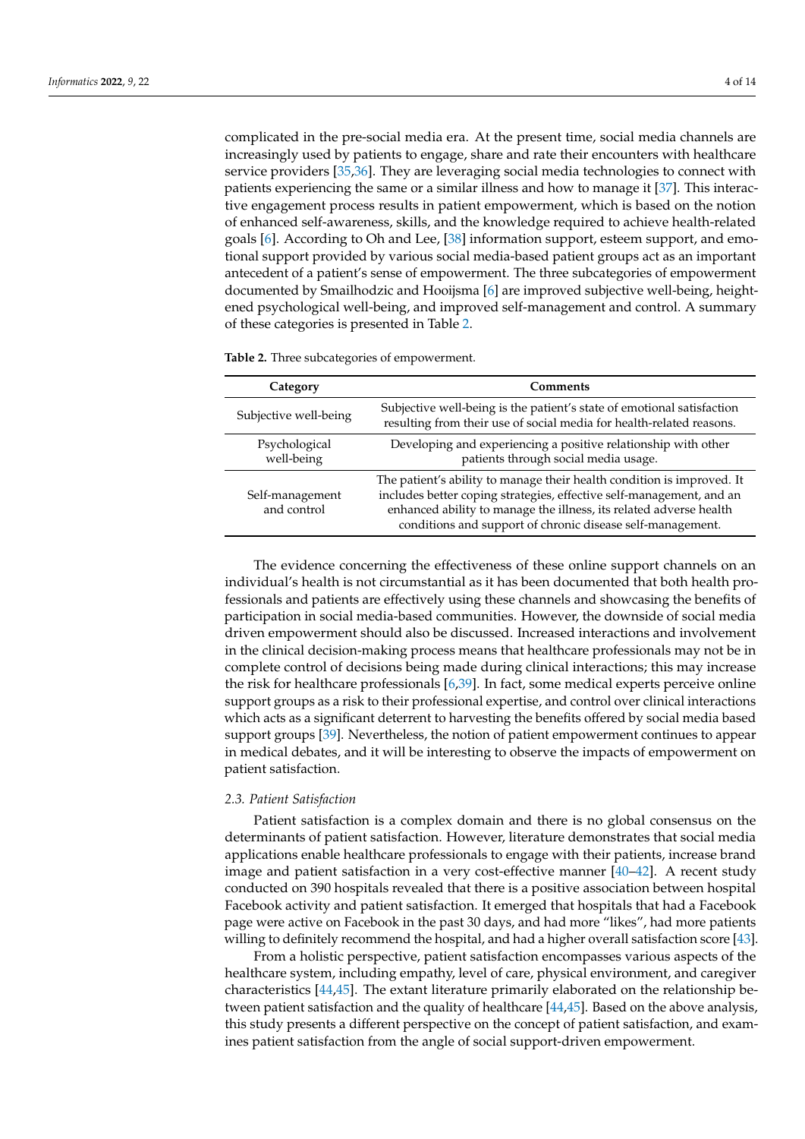complicated in the pre-social media era. At the present time, social media channels are increasingly used by patients to engage, share and rate their encounters with healthcare service providers [\[35,](#page-11-25)[36\]](#page-11-26). They are leveraging social media technologies to connect with patients experiencing the same or a similar illness and how to manage it [\[37\]](#page-11-27). This interactive engagement process results in patient empowerment, which is based on the notion of enhanced self-awareness, skills, and the knowledge required to achieve health-related goals [\[6\]](#page-10-5). According to Oh and Lee, [\[38\]](#page-12-0) information support, esteem support, and emotional support provided by various social media-based patient groups act as an important antecedent of a patient's sense of empowerment. The three subcategories of empowerment documented by Smailhodzic and Hooijsma [\[6\]](#page-10-5) are improved subjective well-being, heightened psychological well-being, and improved self-management and control. A summary of these categories is presented in Table [2.](#page-3-0)

| Category                       | Comments                                                                                                                                                                                                                                                                           |  |  |
|--------------------------------|------------------------------------------------------------------------------------------------------------------------------------------------------------------------------------------------------------------------------------------------------------------------------------|--|--|
| Subjective well-being          | Subjective well-being is the patient's state of emotional satisfaction<br>resulting from their use of social media for health-related reasons.                                                                                                                                     |  |  |
| Psychological<br>well-being    | Developing and experiencing a positive relationship with other<br>patients through social media usage.                                                                                                                                                                             |  |  |
| Self-management<br>and control | The patient's ability to manage their health condition is improved. It<br>includes better coping strategies, effective self-management, and an<br>enhanced ability to manage the illness, its related adverse health<br>conditions and support of chronic disease self-management. |  |  |

<span id="page-3-0"></span>**Table 2.** Three subcategories of empowerment.

The evidence concerning the effectiveness of these online support channels on an individual's health is not circumstantial as it has been documented that both health professionals and patients are effectively using these channels and showcasing the benefits of participation in social media-based communities. However, the downside of social media driven empowerment should also be discussed. Increased interactions and involvement in the clinical decision-making process means that healthcare professionals may not be in complete control of decisions being made during clinical interactions; this may increase the risk for healthcare professionals [\[6,](#page-10-5)[39\]](#page-12-1). In fact, some medical experts perceive online support groups as a risk to their professional expertise, and control over clinical interactions which acts as a significant deterrent to harvesting the benefits offered by social media based support groups [\[39\]](#page-12-1). Nevertheless, the notion of patient empowerment continues to appear in medical debates, and it will be interesting to observe the impacts of empowerment on patient satisfaction.

#### *2.3. Patient Satisfaction*

Patient satisfaction is a complex domain and there is no global consensus on the determinants of patient satisfaction. However, literature demonstrates that social media applications enable healthcare professionals to engage with their patients, increase brand image and patient satisfaction in a very cost-effective manner [\[40](#page-12-2)[–42\]](#page-12-3). A recent study conducted on 390 hospitals revealed that there is a positive association between hospital Facebook activity and patient satisfaction. It emerged that hospitals that had a Facebook page were active on Facebook in the past 30 days, and had more "likes", had more patients willing to definitely recommend the hospital, and had a higher overall satisfaction score [\[43\]](#page-12-4).

From a holistic perspective, patient satisfaction encompasses various aspects of the healthcare system, including empathy, level of care, physical environment, and caregiver characteristics [\[44](#page-12-5)[,45\]](#page-12-6). The extant literature primarily elaborated on the relationship between patient satisfaction and the quality of healthcare [\[44](#page-12-5)[,45\]](#page-12-6). Based on the above analysis, this study presents a different perspective on the concept of patient satisfaction, and examines patient satisfaction from the angle of social support-driven empowerment.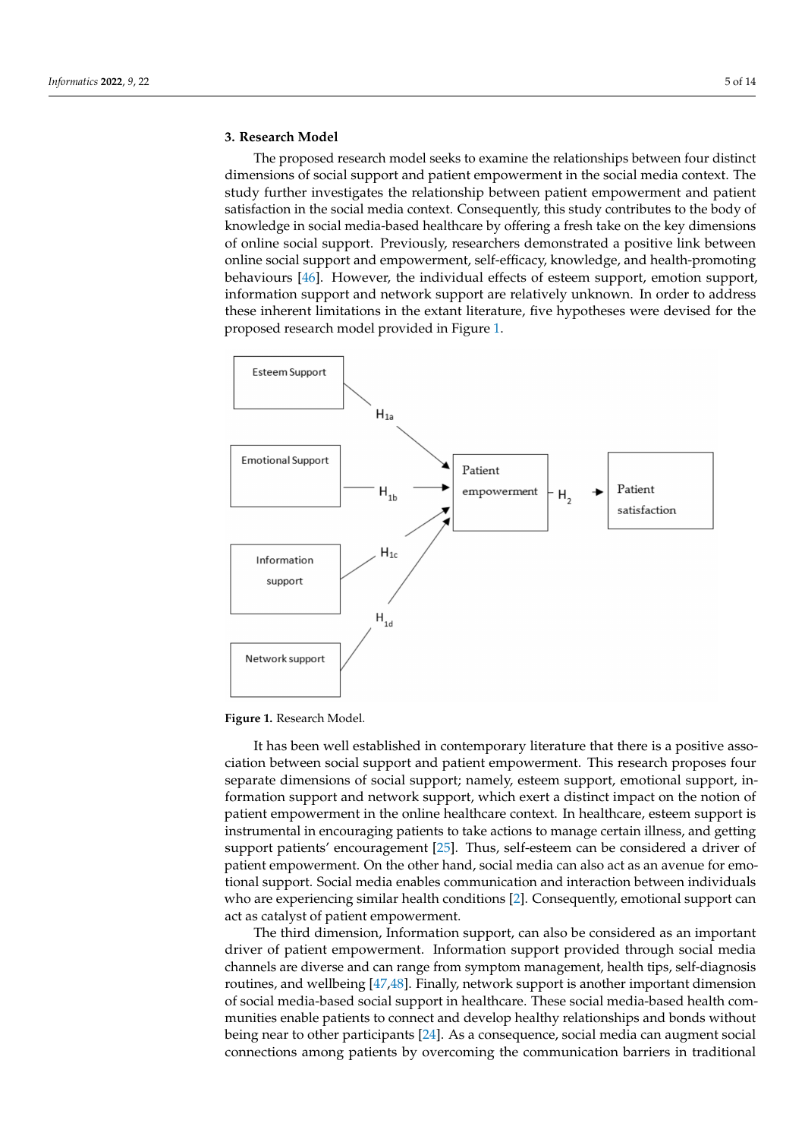## **3. Research Model**

The proposed research model seeks to examine the relationships between four distinct dimensions of social support and patient empowerment in the social media context. The study further investigates the relationship between patient empowerment and patient satisfaction in the social media context. Consequently, this study contributes to the body of knowledge in social media-based healthcare by offering a fresh take on the key dimensions of online social support. Previously, researchers demonstrated a positive link between online social support and empowerment, self-efficacy, knowledge, and health-promoting behaviours [\[46\]](#page-12-7). However, the individual effects of esteem support, emotion support, information support and network support are relatively unknown. In order to address these inherent limitations in the extant literature, five hypotheses were devised for the proposed research model provided in Figure [1.](#page-4-0)

<span id="page-4-0"></span>

**Figure 1.** Research Model.

It has been well established in contemporary literature that there is a positive association between social support and patient empowerment. This research proposes four separate dimensions of social support; namely, esteem support, emotional support, information support and network support, which exert a distinct impact on the notion of patient empowerment in the online healthcare context. In healthcare, esteem support is instrumental in encouraging patients to take actions to manage certain illness, and getting support patients' encouragement [\[25\]](#page-11-15). Thus, self-esteem can be considered a driver of patient empowerment. On the other hand, social media can also act as an avenue for emotional support. Social media enables communication and interaction between individuals who are experiencing similar health conditions [\[2\]](#page-10-1). Consequently, emotional support can act as catalyst of patient empowerment.

The third dimension, Information support, can also be considered as an important driver of patient empowerment. Information support provided through social media channels are diverse and can range from symptom management, health tips, self-diagnosis routines, and wellbeing [\[47](#page-12-8)[,48\]](#page-12-9). Finally, network support is another important dimension of social media-based social support in healthcare. These social media-based health communities enable patients to connect and develop healthy relationships and bonds without being near to other participants [\[24\]](#page-11-14). As a consequence, social media can augment social connections among patients by overcoming the communication barriers in traditional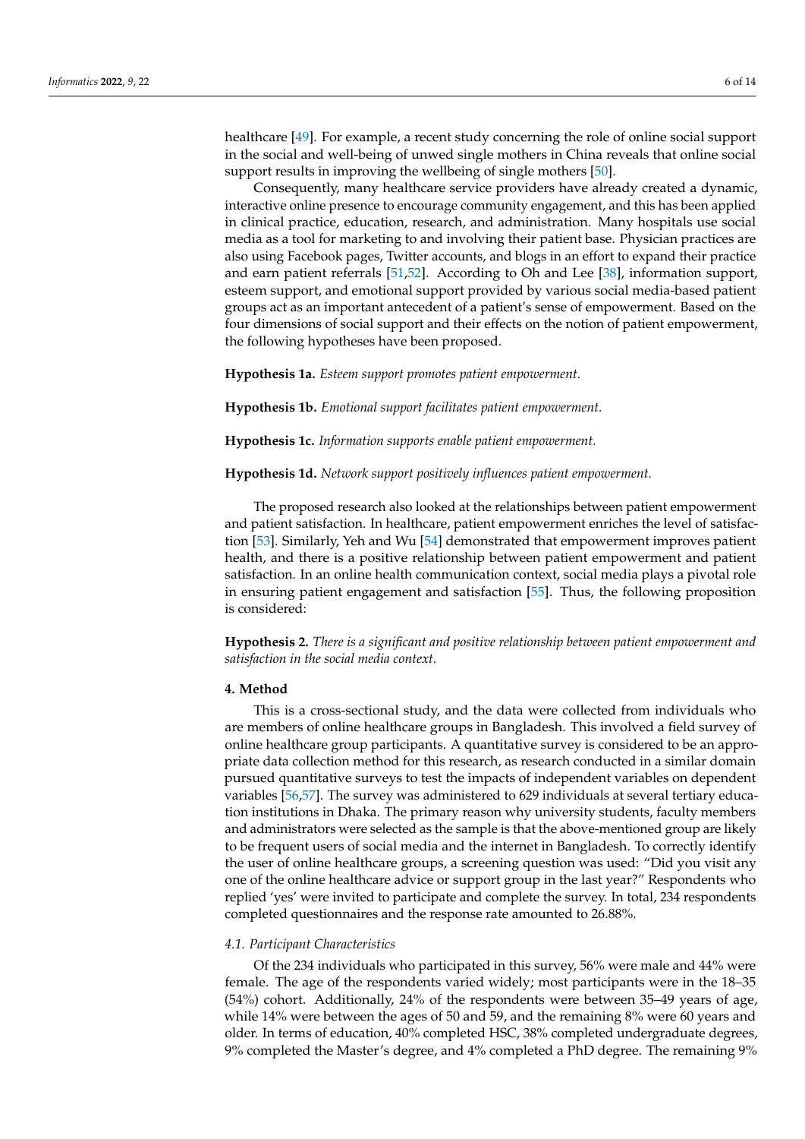healthcare [\[49\]](#page-12-10). For example, a recent study concerning the role of online social support in the social and well-being of unwed single mothers in China reveals that online social support results in improving the wellbeing of single mothers [\[50\]](#page-12-11).

Consequently, many healthcare service providers have already created a dynamic, interactive online presence to encourage community engagement, and this has been applied in clinical practice, education, research, and administration. Many hospitals use social media as a tool for marketing to and involving their patient base. Physician practices are also using Facebook pages, Twitter accounts, and blogs in an effort to expand their practice and earn patient referrals [\[51,](#page-12-12)[52\]](#page-12-13). According to Oh and Lee [\[38\]](#page-12-0), information support, esteem support, and emotional support provided by various social media-based patient groups act as an important antecedent of a patient's sense of empowerment. Based on the four dimensions of social support and their effects on the notion of patient empowerment, the following hypotheses have been proposed.

**Hypothesis 1a.** *Esteem support promotes patient empowerment.*

**Hypothesis 1b.** *Emotional support facilitates patient empowerment.*

**Hypothesis 1c.** *Information supports enable patient empowerment.*

**Hypothesis 1d.** *Network support positively influences patient empowerment.*

The proposed research also looked at the relationships between patient empowerment and patient satisfaction. In healthcare, patient empowerment enriches the level of satisfaction [\[53\]](#page-12-14). Similarly, Yeh and Wu [\[54\]](#page-12-15) demonstrated that empowerment improves patient health, and there is a positive relationship between patient empowerment and patient satisfaction. In an online health communication context, social media plays a pivotal role in ensuring patient engagement and satisfaction [\[55\]](#page-12-16). Thus, the following proposition is considered:

**Hypothesis 2.** *There is a significant and positive relationship between patient empowerment and satisfaction in the social media context.*

#### **4. Method**

This is a cross-sectional study, and the data were collected from individuals who are members of online healthcare groups in Bangladesh. This involved a field survey of online healthcare group participants. A quantitative survey is considered to be an appropriate data collection method for this research, as research conducted in a similar domain pursued quantitative surveys to test the impacts of independent variables on dependent variables [\[56,](#page-12-17)[57\]](#page-12-18). The survey was administered to 629 individuals at several tertiary education institutions in Dhaka. The primary reason why university students, faculty members and administrators were selected as the sample is that the above-mentioned group are likely to be frequent users of social media and the internet in Bangladesh. To correctly identify the user of online healthcare groups, a screening question was used: "Did you visit any one of the online healthcare advice or support group in the last year?" Respondents who replied 'yes' were invited to participate and complete the survey. In total, 234 respondents completed questionnaires and the response rate amounted to 26.88%.

#### *4.1. Participant Characteristics*

Of the 234 individuals who participated in this survey, 56% were male and 44% were female. The age of the respondents varied widely; most participants were in the 18–35 (54%) cohort. Additionally, 24% of the respondents were between 35–49 years of age, while 14% were between the ages of 50 and 59, and the remaining 8% were 60 years and older. In terms of education, 40% completed HSC, 38% completed undergraduate degrees, 9% completed the Master's degree, and 4% completed a PhD degree. The remaining 9%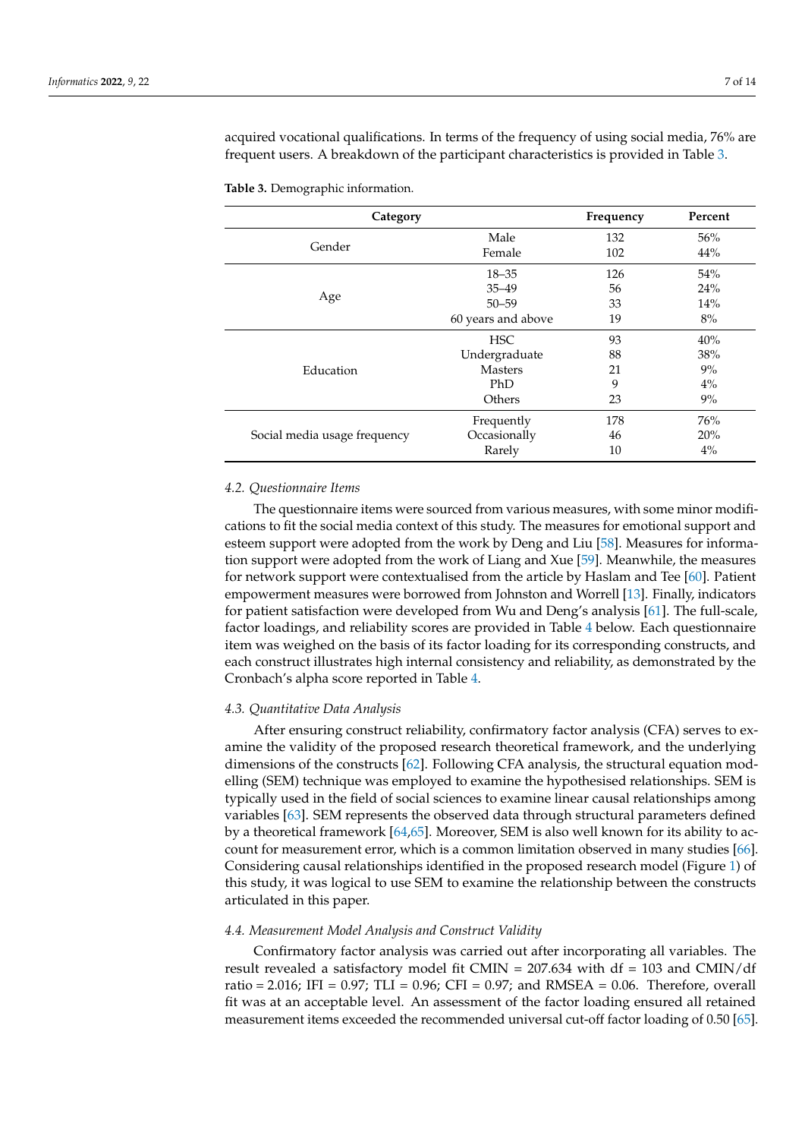acquired vocational qualifications. In terms of the frequency of using social media, 76% are frequent users. A breakdown of the participant characteristics is provided in Table [3.](#page-6-0)

| Category                     |                    | Frequency | Percent |
|------------------------------|--------------------|-----------|---------|
|                              | Male               | 132       | 56%     |
| Gender                       | Female             | 102       | 44%     |
|                              | $18 - 35$          | 126       | 54%     |
|                              | $35 - 49$          | 56        | 24%     |
| Age                          | $50 - 59$          | 33        | 14%     |
|                              | 60 years and above | 19        | 8%      |
|                              | <b>HSC</b>         | 93        | 40%     |
|                              | Undergraduate      | 88        | 38%     |
| Education                    | <b>Masters</b>     | 21        | 9%      |
|                              | PhD                | 9         | $4\%$   |
|                              | Others             | 23        | 9%      |
|                              | Frequently         | 178       | 76%     |
| Social media usage frequency | Occasionally       | 46        | 20%     |
|                              | Rarely             | 10        | $4\%$   |

<span id="page-6-0"></span>**Table 3.** Demographic information.

#### *4.2. Questionnaire Items*

The questionnaire items were sourced from various measures, with some minor modifications to fit the social media context of this study. The measures for emotional support and esteem support were adopted from the work by Deng and Liu [\[58\]](#page-12-19). Measures for information support were adopted from the work of Liang and Xue [\[59\]](#page-12-20). Meanwhile, the measures for network support were contextualised from the article by Haslam and Tee [\[60\]](#page-12-21). Patient empowerment measures were borrowed from Johnston and Worrell [\[13\]](#page-11-3). Finally, indicators for patient satisfaction were developed from Wu and Deng's analysis [\[61\]](#page-12-22). The full-scale, factor loadings, and reliability scores are provided in Table [4](#page-7-0) below. Each questionnaire item was weighed on the basis of its factor loading for its corresponding constructs, and each construct illustrates high internal consistency and reliability, as demonstrated by the Cronbach's alpha score reported in Table [4.](#page-7-0)

#### *4.3. Quantitative Data Analysis*

After ensuring construct reliability, confirmatory factor analysis (CFA) serves to examine the validity of the proposed research theoretical framework, and the underlying dimensions of the constructs [\[62\]](#page-12-23). Following CFA analysis, the structural equation modelling (SEM) technique was employed to examine the hypothesised relationships. SEM is typically used in the field of social sciences to examine linear causal relationships among variables [\[63\]](#page-12-24). SEM represents the observed data through structural parameters defined by a theoretical framework [\[64](#page-12-25)[,65\]](#page-12-26). Moreover, SEM is also well known for its ability to account for measurement error, which is a common limitation observed in many studies [\[66\]](#page-12-27). Considering causal relationships identified in the proposed research model (Figure [1\)](#page-4-0) of this study, it was logical to use SEM to examine the relationship between the constructs articulated in this paper.

#### *4.4. Measurement Model Analysis and Construct Validity*

Confirmatory factor analysis was carried out after incorporating all variables. The result revealed a satisfactory model fit CMIN = 207.634 with df = 103 and CMIN/df ratio = 2.016; IFI =  $0.97$ ; TLI =  $0.96$ ; CFI =  $0.97$ ; and RMSEA =  $0.06$ . Therefore, overall fit was at an acceptable level. An assessment of the factor loading ensured all retained measurement items exceeded the recommended universal cut-off factor loading of 0.50 [\[65\]](#page-12-26).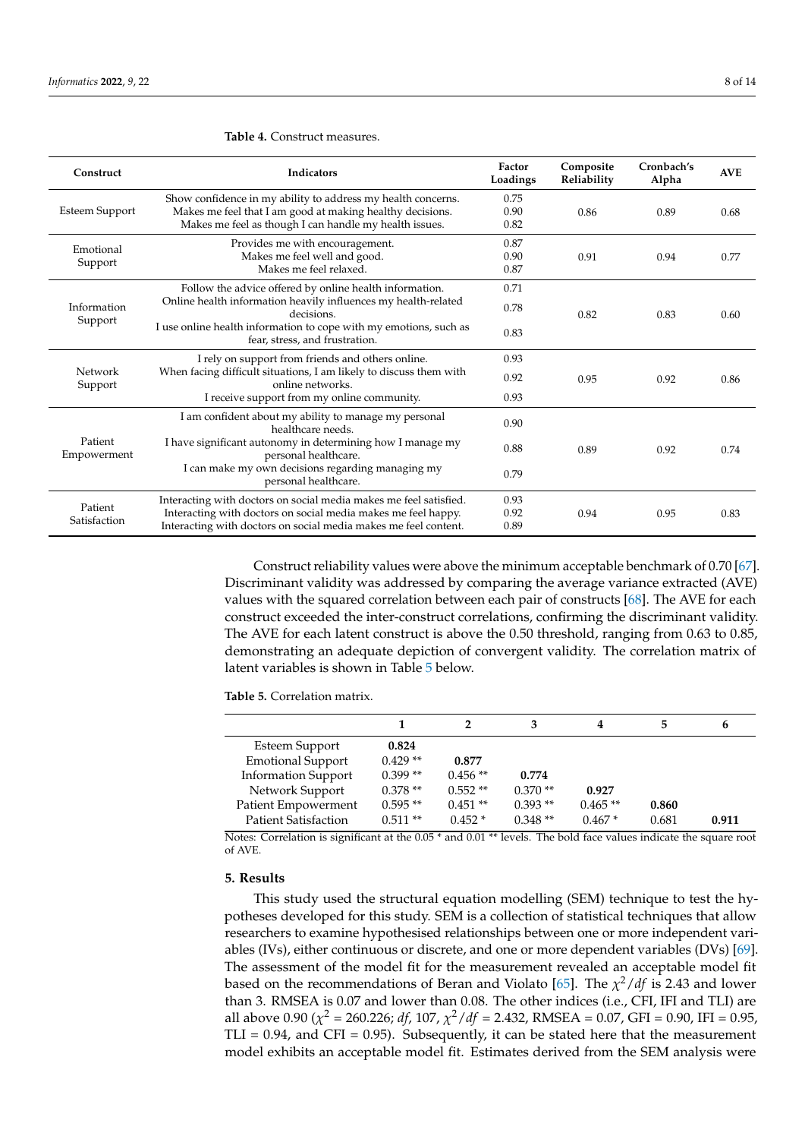| Construct              | Indicators                                                                                                                                                                          | Factor<br>Loadings   | Composite<br>Reliability | Cronbach's<br>Alpha | <b>AVE</b> |
|------------------------|-------------------------------------------------------------------------------------------------------------------------------------------------------------------------------------|----------------------|--------------------------|---------------------|------------|
| <b>Esteem Support</b>  | Show confidence in my ability to address my health concerns.<br>Makes me feel that I am good at making healthy decisions.<br>Makes me feel as though I can handle my health issues. | 0.75<br>0.90<br>0.82 | 0.86                     | 0.89                | 0.68       |
| Emotional<br>Support   | Provides me with encouragement.<br>Makes me feel well and good.<br>Makes me feel relaxed.                                                                                           | 0.87<br>0.90<br>0.87 | 0.91                     | 0.94                | 0.77       |
|                        | Follow the advice offered by online health information.                                                                                                                             | 0.71                 | 0.82                     | 0.83                | 0.60       |
| Information<br>Support | Online health information heavily influences my health-related<br>decisions.                                                                                                        | 0.78                 |                          |                     |            |
|                        | I use online health information to cope with my emotions, such as<br>fear, stress, and frustration.                                                                                 | 0.83                 |                          |                     |            |
| Network<br>Support     | I rely on support from friends and others online.                                                                                                                                   | 0.93                 | 0.95                     | 0.92                | 0.86       |
|                        | When facing difficult situations, I am likely to discuss them with<br>online networks.                                                                                              | 0.92                 |                          |                     |            |
|                        | I receive support from my online community.                                                                                                                                         | 0.93                 |                          |                     |            |
| Patient<br>Empowerment | I am confident about my ability to manage my personal<br>healthcare needs.                                                                                                          | 0.90                 |                          |                     |            |
|                        | I have significant autonomy in determining how I manage my<br>personal healthcare.                                                                                                  | 0.88                 | 0.89                     | 0.92                | 0.74       |
|                        | I can make my own decisions regarding managing my<br>personal healthcare.                                                                                                           | 0.79                 |                          |                     |            |
| Patient                | Interacting with doctors on social media makes me feel satisfied.                                                                                                                   | 0.93                 |                          |                     |            |
| Satisfaction           | Interacting with doctors on social media makes me feel happy.                                                                                                                       | 0.92<br>0.89         | 0.94                     | 0.95                | 0.83       |
|                        | Interacting with doctors on social media makes me feel content.                                                                                                                     |                      |                          |                     |            |

#### <span id="page-7-0"></span>**Table 4.** Construct measures.

Construct reliability values were above the minimum acceptable benchmark of 0.70 [\[67\]](#page-12-28). Discriminant validity was addressed by comparing the average variance extracted (AVE) values with the squared correlation between each pair of constructs [\[68\]](#page-13-0). The AVE for each construct exceeded the inter-construct correlations, confirming the discriminant validity. The AVE for each latent construct is above the 0.50 threshold, ranging from 0.63 to 0.85, demonstrating an adequate depiction of convergent validity. The correlation matrix of latent variables is shown in Table [5](#page-7-1) below.

<span id="page-7-1"></span>**Table 5.** Correlation matrix.

|                                            |                    |           | 3         | 4         | 5     | h     |
|--------------------------------------------|--------------------|-----------|-----------|-----------|-------|-------|
| Esteem Support<br><b>Emotional Support</b> | 0.824<br>$0.429**$ | 0.877     |           |           |       |       |
| <b>Information Support</b>                 | $0.399**$          | $0.456**$ | 0.774     |           |       |       |
| Network Support                            | $0.378**$          | $0.552**$ | $0.370**$ | 0.927     |       |       |
| Patient Empowerment                        | $0.595**$          | $0.451**$ | $0.393**$ | $0.465**$ | 0.860 |       |
| <b>Patient Satisfaction</b>                | $0.511**$          | $0.452*$  | $0.348**$ | $0.467*$  | 0.681 | 0.911 |

Notes: Correlation is significant at the 0.05 \* and 0.01 \*\* levels. The bold face values indicate the square root of AVE.

## **5. Results**

This study used the structural equation modelling (SEM) technique to test the hypotheses developed for this study. SEM is a collection of statistical techniques that allow researchers to examine hypothesised relationships between one or more independent variables (IVs), either continuous or discrete, and one or more dependent variables (DVs) [\[69\]](#page-13-1). The assessment of the model fit for the measurement revealed an acceptable model fit based on the recommendations of Beran and Violato [\[65\]](#page-12-26). The *χ* <sup>2</sup>/*df* is 2.43 and lower than 3. RMSEA is 0.07 and lower than 0.08. The other indices (i.e., CFI, IFI and TLI) are all above 0.90 ( $\chi^2$  = 260.226; *df*, 107,  $\chi^2/df$  = 2.432, RMSEA = 0.07, GFI = 0.90, IFI = 0.95,  $TLI = 0.94$ , and  $CFI = 0.95$ ). Subsequently, it can be stated here that the measurement model exhibits an acceptable model fit. Estimates derived from the SEM analysis were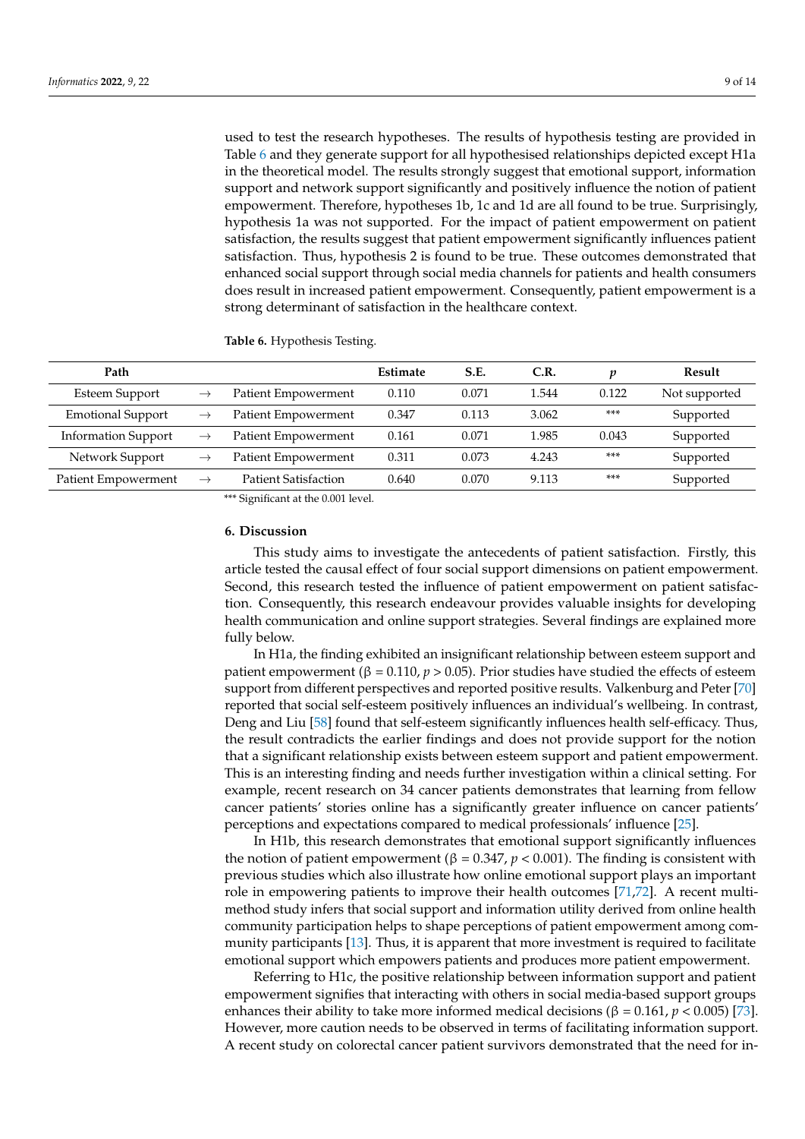used to test the research hypotheses. The results of hypothesis testing are provided in Table [6](#page-8-0) and they generate support for all hypothesised relationships depicted except H1a in the theoretical model. The results strongly suggest that emotional support, information support and network support significantly and positively influence the notion of patient empowerment. Therefore, hypotheses 1b, 1c and 1d are all found to be true. Surprisingly, hypothesis 1a was not supported. For the impact of patient empowerment on patient satisfaction, the results suggest that patient empowerment significantly influences patient satisfaction. Thus, hypothesis 2 is found to be true. These outcomes demonstrated that enhanced social support through social media channels for patients and health consumers does result in increased patient empowerment. Consequently, patient empowerment is a strong determinant of satisfaction in the healthcare context.

<span id="page-8-0"></span>**Table 6.** Hypothesis Testing.

| Path                       |               |                             | Estimate | S.E.  | C.R.  | п     | Result        |
|----------------------------|---------------|-----------------------------|----------|-------|-------|-------|---------------|
| <b>Esteem Support</b>      | $\rightarrow$ | Patient Empowerment         | 0.110    | 0.071 | 1.544 | 0.122 | Not supported |
| <b>Emotional Support</b>   | $\rightarrow$ | Patient Empowerment         | 0.347    | 0.113 | 3.062 | $***$ | Supported     |
| <b>Information Support</b> | $\rightarrow$ | Patient Empowerment         | 0.161    | 0.071 | 1.985 | 0.043 | Supported     |
| Network Support            | $\rightarrow$ | Patient Empowerment         | 0.311    | 0.073 | 4.243 | $***$ | Supported     |
| Patient Empowerment        | $\rightarrow$ | <b>Patient Satisfaction</b> | 0.640    | 0.070 | 9.113 | ***   | Supported     |

\*\*\* Significant at the 0.001 level.

### **6. Discussion**

This study aims to investigate the antecedents of patient satisfaction. Firstly, this article tested the causal effect of four social support dimensions on patient empowerment. Second, this research tested the influence of patient empowerment on patient satisfaction. Consequently, this research endeavour provides valuable insights for developing health communication and online support strategies. Several findings are explained more fully below.

In H1a, the finding exhibited an insignificant relationship between esteem support and patient empowerment (β = 0.110,  $p > 0.05$ ). Prior studies have studied the effects of esteem support from different perspectives and reported positive results. Valkenburg and Peter [\[70\]](#page-13-2) reported that social self-esteem positively influences an individual's wellbeing. In contrast, Deng and Liu [\[58\]](#page-12-19) found that self-esteem significantly influences health self-efficacy. Thus, the result contradicts the earlier findings and does not provide support for the notion that a significant relationship exists between esteem support and patient empowerment. This is an interesting finding and needs further investigation within a clinical setting. For example, recent research on 34 cancer patients demonstrates that learning from fellow cancer patients' stories online has a significantly greater influence on cancer patients' perceptions and expectations compared to medical professionals' influence [\[25\]](#page-11-15).

In H1b, this research demonstrates that emotional support significantly influences the notion of patient empowerment ( $β = 0.347, p < 0.001$ ). The finding is consistent with previous studies which also illustrate how online emotional support plays an important role in empowering patients to improve their health outcomes [\[71,](#page-13-3)[72\]](#page-13-4). A recent multimethod study infers that social support and information utility derived from online health community participation helps to shape perceptions of patient empowerment among community participants [\[13\]](#page-11-3). Thus, it is apparent that more investment is required to facilitate emotional support which empowers patients and produces more patient empowerment.

Referring to H1c, the positive relationship between information support and patient empowerment signifies that interacting with others in social media-based support groups enhances their ability to take more informed medical decisions ( $β = 0.161, p < 0.005$ ) [\[73\]](#page-13-5). However, more caution needs to be observed in terms of facilitating information support. A recent study on colorectal cancer patient survivors demonstrated that the need for in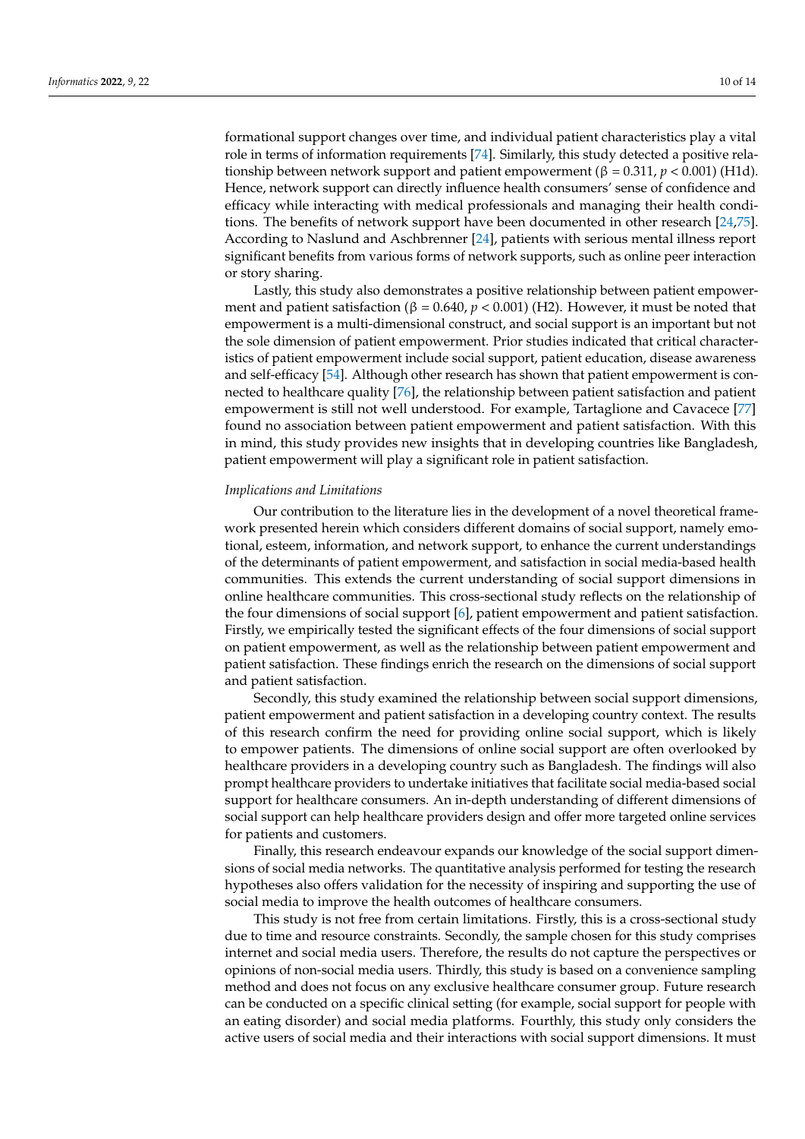formational support changes over time, and individual patient characteristics play a vital role in terms of information requirements [\[74\]](#page-13-6). Similarly, this study detected a positive relationship between network support and patient empowerment ( $β = 0.311, p < 0.001$ ) (H1d). Hence, network support can directly influence health consumers' sense of confidence and efficacy while interacting with medical professionals and managing their health conditions. The benefits of network support have been documented in other research [\[24,](#page-11-14)[75\]](#page-13-7). According to Naslund and Aschbrenner [\[24\]](#page-11-14), patients with serious mental illness report significant benefits from various forms of network supports, such as online peer interaction or story sharing.

Lastly, this study also demonstrates a positive relationship between patient empowerment and patient satisfaction (β = 0.640,  $p < 0.001$ ) (H2). However, it must be noted that empowerment is a multi-dimensional construct, and social support is an important but not the sole dimension of patient empowerment. Prior studies indicated that critical characteristics of patient empowerment include social support, patient education, disease awareness and self-efficacy [\[54\]](#page-12-15). Although other research has shown that patient empowerment is connected to healthcare quality [\[76\]](#page-13-8), the relationship between patient satisfaction and patient empowerment is still not well understood. For example, Tartaglione and Cavacece [\[77\]](#page-13-9) found no association between patient empowerment and patient satisfaction. With this in mind, this study provides new insights that in developing countries like Bangladesh, patient empowerment will play a significant role in patient satisfaction.

#### *Implications and Limitations*

Our contribution to the literature lies in the development of a novel theoretical framework presented herein which considers different domains of social support, namely emotional, esteem, information, and network support, to enhance the current understandings of the determinants of patient empowerment, and satisfaction in social media-based health communities. This extends the current understanding of social support dimensions in online healthcare communities. This cross-sectional study reflects on the relationship of the four dimensions of social support [\[6\]](#page-10-5), patient empowerment and patient satisfaction. Firstly, we empirically tested the significant effects of the four dimensions of social support on patient empowerment, as well as the relationship between patient empowerment and patient satisfaction. These findings enrich the research on the dimensions of social support and patient satisfaction.

Secondly, this study examined the relationship between social support dimensions, patient empowerment and patient satisfaction in a developing country context. The results of this research confirm the need for providing online social support, which is likely to empower patients. The dimensions of online social support are often overlooked by healthcare providers in a developing country such as Bangladesh. The findings will also prompt healthcare providers to undertake initiatives that facilitate social media-based social support for healthcare consumers. An in-depth understanding of different dimensions of social support can help healthcare providers design and offer more targeted online services for patients and customers.

Finally, this research endeavour expands our knowledge of the social support dimensions of social media networks. The quantitative analysis performed for testing the research hypotheses also offers validation for the necessity of inspiring and supporting the use of social media to improve the health outcomes of healthcare consumers.

This study is not free from certain limitations. Firstly, this is a cross-sectional study due to time and resource constraints. Secondly, the sample chosen for this study comprises internet and social media users. Therefore, the results do not capture the perspectives or opinions of non-social media users. Thirdly, this study is based on a convenience sampling method and does not focus on any exclusive healthcare consumer group. Future research can be conducted on a specific clinical setting (for example, social support for people with an eating disorder) and social media platforms. Fourthly, this study only considers the active users of social media and their interactions with social support dimensions. It must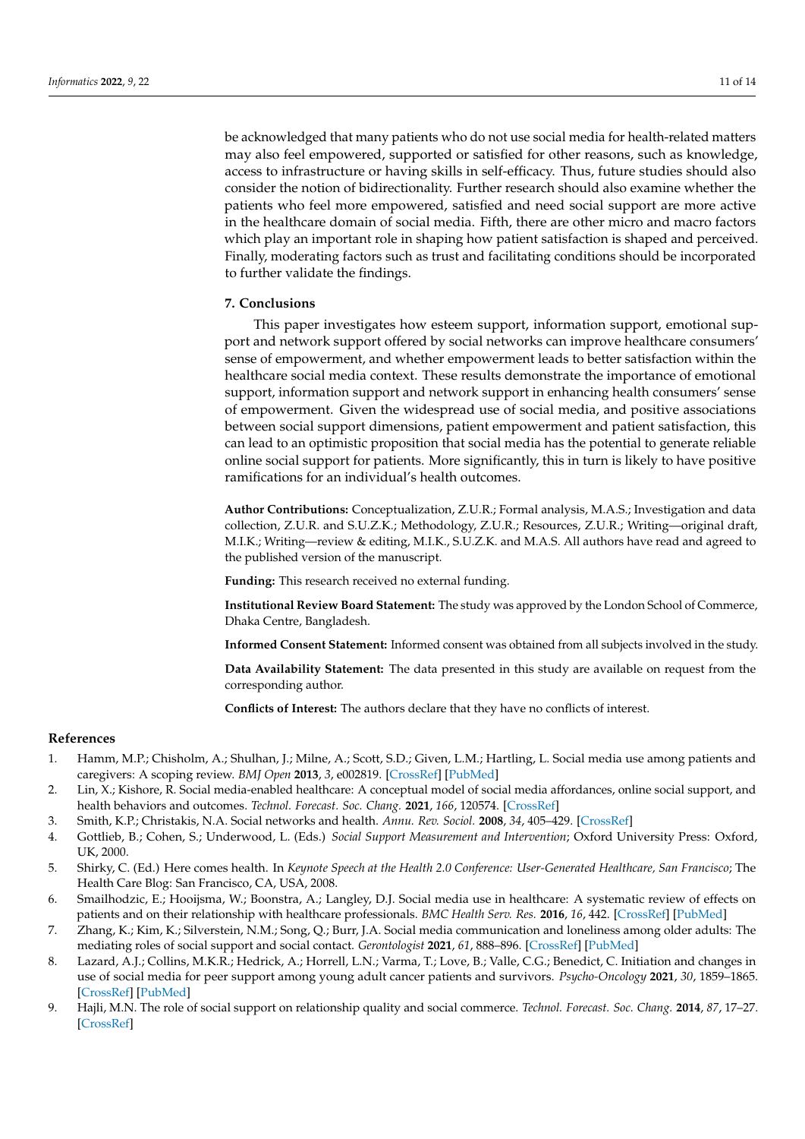be acknowledged that many patients who do not use social media for health-related matters may also feel empowered, supported or satisfied for other reasons, such as knowledge, access to infrastructure or having skills in self-efficacy. Thus, future studies should also consider the notion of bidirectionality. Further research should also examine whether the patients who feel more empowered, satisfied and need social support are more active in the healthcare domain of social media. Fifth, there are other micro and macro factors which play an important role in shaping how patient satisfaction is shaped and perceived. Finally, moderating factors such as trust and facilitating conditions should be incorporated to further validate the findings.

## **7. Conclusions**

This paper investigates how esteem support, information support, emotional support and network support offered by social networks can improve healthcare consumers' sense of empowerment, and whether empowerment leads to better satisfaction within the healthcare social media context. These results demonstrate the importance of emotional support, information support and network support in enhancing health consumers' sense of empowerment. Given the widespread use of social media, and positive associations between social support dimensions, patient empowerment and patient satisfaction, this can lead to an optimistic proposition that social media has the potential to generate reliable online social support for patients. More significantly, this in turn is likely to have positive ramifications for an individual's health outcomes.

**Author Contributions:** Conceptualization, Z.U.R.; Formal analysis, M.A.S.; Investigation and data collection, Z.U.R. and S.U.Z.K.; Methodology, Z.U.R.; Resources, Z.U.R.; Writing—original draft, M.I.K.; Writing—review & editing, M.I.K., S.U.Z.K. and M.A.S. All authors have read and agreed to the published version of the manuscript.

**Funding:** This research received no external funding.

**Institutional Review Board Statement:** The study was approved by the London School of Commerce, Dhaka Centre, Bangladesh.

**Informed Consent Statement:** Informed consent was obtained from all subjects involved in the study.

**Data Availability Statement:** The data presented in this study are available on request from the corresponding author.

**Conflicts of Interest:** The authors declare that they have no conflicts of interest.

#### **References**

- <span id="page-10-0"></span>1. Hamm, M.P.; Chisholm, A.; Shulhan, J.; Milne, A.; Scott, S.D.; Given, L.M.; Hartling, L. Social media use among patients and caregivers: A scoping review. *BMJ Open* **2013**, *3*, e002819. [\[CrossRef\]](http://doi.org/10.1136/bmjopen-2013-002819) [\[PubMed\]](http://www.ncbi.nlm.nih.gov/pubmed/23667163)
- <span id="page-10-1"></span>2. Lin, X.; Kishore, R. Social media-enabled healthcare: A conceptual model of social media affordances, online social support, and health behaviors and outcomes. *Technol. Forecast. Soc. Chang.* **2021**, *166*, 120574. [\[CrossRef\]](http://doi.org/10.1016/j.techfore.2021.120574)
- <span id="page-10-2"></span>3. Smith, K.P.; Christakis, N.A. Social networks and health. *Annu. Rev. Sociol.* **2008**, *34*, 405–429. [\[CrossRef\]](http://doi.org/10.1146/annurev.soc.34.040507.134601)
- <span id="page-10-3"></span>4. Gottlieb, B.; Cohen, S.; Underwood, L. (Eds.) *Social Support Measurement and Intervention*; Oxford University Press: Oxford, UK, 2000.
- <span id="page-10-4"></span>5. Shirky, C. (Ed.) Here comes health. In *Keynote Speech at the Health 2.0 Conference: User-Generated Healthcare, San Francisco*; The Health Care Blog: San Francisco, CA, USA, 2008.
- <span id="page-10-5"></span>6. Smailhodzic, E.; Hooijsma, W.; Boonstra, A.; Langley, D.J. Social media use in healthcare: A systematic review of effects on patients and on their relationship with healthcare professionals. *BMC Health Serv. Res.* **2016**, *16*, 442. [\[CrossRef\]](http://doi.org/10.1186/s12913-016-1691-0) [\[PubMed\]](http://www.ncbi.nlm.nih.gov/pubmed/27562728)
- <span id="page-10-6"></span>7. Zhang, K.; Kim, K.; Silverstein, N.M.; Song, Q.; Burr, J.A. Social media communication and loneliness among older adults: The mediating roles of social support and social contact. *Gerontologist* **2021**, *61*, 888–896. [\[CrossRef\]](http://doi.org/10.1093/geront/gnaa197) [\[PubMed\]](http://www.ncbi.nlm.nih.gov/pubmed/33284972)
- <span id="page-10-7"></span>8. Lazard, A.J.; Collins, M.K.R.; Hedrick, A.; Horrell, L.N.; Varma, T.; Love, B.; Valle, C.G.; Benedict, C. Initiation and changes in use of social media for peer support among young adult cancer patients and survivors. *Psycho-Oncology* **2021**, *30*, 1859–1865. [\[CrossRef\]](http://doi.org/10.1002/pon.5758) [\[PubMed\]](http://www.ncbi.nlm.nih.gov/pubmed/34165848)
- <span id="page-10-8"></span>9. Hajli, M.N. The role of social support on relationship quality and social commerce. *Technol. Forecast. Soc. Chang.* **2014**, *87*, 17–27. [\[CrossRef\]](http://doi.org/10.1016/j.techfore.2014.05.012)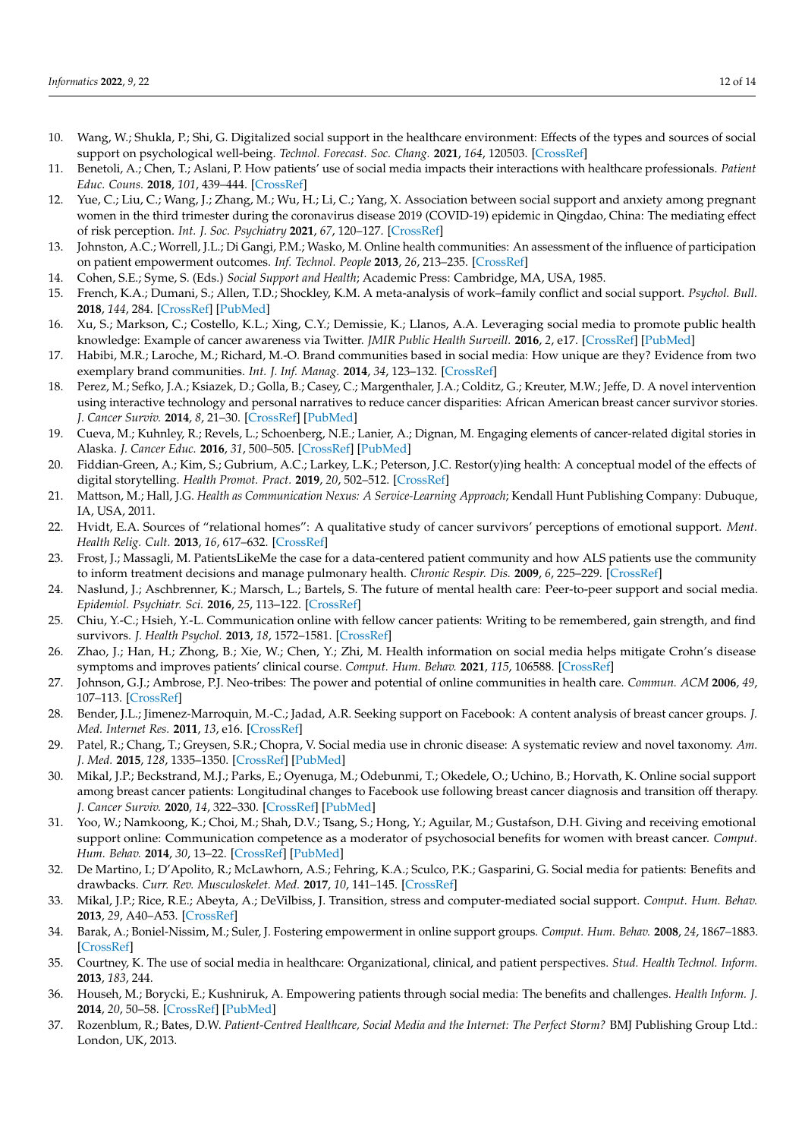- <span id="page-11-0"></span>10. Wang, W.; Shukla, P.; Shi, G. Digitalized social support in the healthcare environment: Effects of the types and sources of social support on psychological well-being. *Technol. Forecast. Soc. Chang.* **2021**, *164*, 120503. [\[CrossRef\]](http://doi.org/10.1016/j.techfore.2020.120503)
- <span id="page-11-1"></span>11. Benetoli, A.; Chen, T.; Aslani, P. How patients' use of social media impacts their interactions with healthcare professionals. *Patient Educ. Couns.* **2018**, *101*, 439–444. [\[CrossRef\]](http://doi.org/10.1016/j.pec.2017.08.015)
- <span id="page-11-2"></span>12. Yue, C.; Liu, C.; Wang, J.; Zhang, M.; Wu, H.; Li, C.; Yang, X. Association between social support and anxiety among pregnant women in the third trimester during the coronavirus disease 2019 (COVID-19) epidemic in Qingdao, China: The mediating effect of risk perception. *Int. J. Soc. Psychiatry* **2021**, *67*, 120–127. [\[CrossRef\]](http://doi.org/10.1177/0020764020941567)
- <span id="page-11-3"></span>13. Johnston, A.C.; Worrell, J.L.; Di Gangi, P.M.; Wasko, M. Online health communities: An assessment of the influence of participation on patient empowerment outcomes. *Inf. Technol. People* **2013**, *26*, 213–235. [\[CrossRef\]](http://doi.org/10.1108/ITP-02-2013-0040)
- <span id="page-11-4"></span>14. Cohen, S.E.; Syme, S. (Eds.) *Social Support and Health*; Academic Press: Cambridge, MA, USA, 1985.
- <span id="page-11-5"></span>15. French, K.A.; Dumani, S.; Allen, T.D.; Shockley, K.M. A meta-analysis of work–family conflict and social support. *Psychol. Bull.* **2018**, *144*, 284. [\[CrossRef\]](http://doi.org/10.1037/bul0000120) [\[PubMed\]](http://www.ncbi.nlm.nih.gov/pubmed/29239632)
- <span id="page-11-6"></span>16. Xu, S.; Markson, C.; Costello, K.L.; Xing, C.Y.; Demissie, K.; Llanos, A.A. Leveraging social media to promote public health knowledge: Example of cancer awareness via Twitter. *JMIR Public Health Surveill.* **2016**, *2*, e17. [\[CrossRef\]](http://doi.org/10.2196/publichealth.5205) [\[PubMed\]](http://www.ncbi.nlm.nih.gov/pubmed/27227152)
- <span id="page-11-7"></span>17. Habibi, M.R.; Laroche, M.; Richard, M.-O. Brand communities based in social media: How unique are they? Evidence from two exemplary brand communities. *Int. J. Inf. Manag.* **2014**, *34*, 123–132. [\[CrossRef\]](http://doi.org/10.1016/j.ijinfomgt.2013.11.010)
- <span id="page-11-8"></span>18. Perez, M.; Sefko, J.A.; Ksiazek, D.; Golla, B.; Casey, C.; Margenthaler, J.A.; Colditz, G.; Kreuter, M.W.; Jeffe, D. A novel intervention using interactive technology and personal narratives to reduce cancer disparities: African American breast cancer survivor stories. *J. Cancer Surviv.* **2014**, *8*, 21–30. [\[CrossRef\]](http://doi.org/10.1007/s11764-013-0308-4) [\[PubMed\]](http://www.ncbi.nlm.nih.gov/pubmed/24030573)
- <span id="page-11-9"></span>19. Cueva, M.; Kuhnley, R.; Revels, L.; Schoenberg, N.E.; Lanier, A.; Dignan, M. Engaging elements of cancer-related digital stories in Alaska. *J. Cancer Educ.* **2016**, *31*, 500–505. [\[CrossRef\]](http://doi.org/10.1007/s13187-015-0826-z) [\[PubMed\]](http://www.ncbi.nlm.nih.gov/pubmed/25865400)
- <span id="page-11-10"></span>20. Fiddian-Green, A.; Kim, S.; Gubrium, A.C.; Larkey, L.K.; Peterson, J.C. Restor(y)ing health: A conceptual model of the effects of digital storytelling. *Health Promot. Pract.* **2019**, *20*, 502–512. [\[CrossRef\]](http://doi.org/10.1177/1524839918825130)
- <span id="page-11-11"></span>21. Mattson, M.; Hall, J.G. *Health as Communication Nexus: A Service-Learning Approach*; Kendall Hunt Publishing Company: Dubuque, IA, USA, 2011.
- <span id="page-11-12"></span>22. Hvidt, E.A. Sources of "relational homes": A qualitative study of cancer survivors' perceptions of emotional support. *Ment. Health Relig. Cult.* **2013**, *16*, 617–632. [\[CrossRef\]](http://doi.org/10.1080/13674676.2012.708652)
- <span id="page-11-13"></span>23. Frost, J.; Massagli, M. PatientsLikeMe the case for a data-centered patient community and how ALS patients use the community to inform treatment decisions and manage pulmonary health. *Chronic Respir. Dis.* **2009**, *6*, 225–229. [\[CrossRef\]](http://doi.org/10.1177/1479972309348655)
- <span id="page-11-14"></span>24. Naslund, J.; Aschbrenner, K.; Marsch, L.; Bartels, S. The future of mental health care: Peer-to-peer support and social media. *Epidemiol. Psychiatr. Sci.* **2016**, *25*, 113–122. [\[CrossRef\]](http://doi.org/10.1017/S2045796015001067)
- <span id="page-11-15"></span>25. Chiu, Y.-C.; Hsieh, Y.-L. Communication online with fellow cancer patients: Writing to be remembered, gain strength, and find survivors. *J. Health Psychol.* **2013**, *18*, 1572–1581. [\[CrossRef\]](http://doi.org/10.1177/1359105312465915)
- <span id="page-11-16"></span>26. Zhao, J.; Han, H.; Zhong, B.; Xie, W.; Chen, Y.; Zhi, M. Health information on social media helps mitigate Crohn's disease symptoms and improves patients' clinical course. *Comput. Hum. Behav.* **2021**, *115*, 106588. [\[CrossRef\]](http://doi.org/10.1016/j.chb.2020.106588)
- <span id="page-11-17"></span>27. Johnson, G.J.; Ambrose, P.J. Neo-tribes: The power and potential of online communities in health care. *Commun. ACM* **2006**, *49*, 107–113. [\[CrossRef\]](http://doi.org/10.1145/1107458.1107463)
- <span id="page-11-18"></span>28. Bender, J.L.; Jimenez-Marroquin, M.-C.; Jadad, A.R. Seeking support on Facebook: A content analysis of breast cancer groups. *J. Med. Internet Res.* **2011**, *13*, e16. [\[CrossRef\]](http://doi.org/10.2196/jmir.1560)
- <span id="page-11-19"></span>29. Patel, R.; Chang, T.; Greysen, S.R.; Chopra, V. Social media use in chronic disease: A systematic review and novel taxonomy. *Am. J. Med.* **2015**, *128*, 1335–1350. [\[CrossRef\]](http://doi.org/10.1016/j.amjmed.2015.06.015) [\[PubMed\]](http://www.ncbi.nlm.nih.gov/pubmed/26159633)
- <span id="page-11-20"></span>30. Mikal, J.P.; Beckstrand, M.J.; Parks, E.; Oyenuga, M.; Odebunmi, T.; Okedele, O.; Uchino, B.; Horvath, K. Online social support among breast cancer patients: Longitudinal changes to Facebook use following breast cancer diagnosis and transition off therapy. *J. Cancer Surviv.* **2020**, *14*, 322–330. [\[CrossRef\]](http://doi.org/10.1007/s11764-019-00847-w) [\[PubMed\]](http://www.ncbi.nlm.nih.gov/pubmed/31897878)
- <span id="page-11-21"></span>31. Yoo, W.; Namkoong, K.; Choi, M.; Shah, D.V.; Tsang, S.; Hong, Y.; Aguilar, M.; Gustafson, D.H. Giving and receiving emotional support online: Communication competence as a moderator of psychosocial benefits for women with breast cancer. *Comput. Hum. Behav.* **2014**, *30*, 13–22. [\[CrossRef\]](http://doi.org/10.1016/j.chb.2013.07.024) [\[PubMed\]](http://www.ncbi.nlm.nih.gov/pubmed/24058261)
- <span id="page-11-22"></span>32. De Martino, I.; D'Apolito, R.; McLawhorn, A.S.; Fehring, K.A.; Sculco, P.K.; Gasparini, G. Social media for patients: Benefits and drawbacks. *Curr. Rev. Musculoskelet. Med.* **2017**, *10*, 141–145. [\[CrossRef\]](http://doi.org/10.1007/s12178-017-9394-7)
- <span id="page-11-23"></span>33. Mikal, J.P.; Rice, R.E.; Abeyta, A.; DeVilbiss, J. Transition, stress and computer-mediated social support. *Comput. Hum. Behav.* **2013**, *29*, A40–A53. [\[CrossRef\]](http://doi.org/10.1016/j.chb.2012.12.012)
- <span id="page-11-24"></span>34. Barak, A.; Boniel-Nissim, M.; Suler, J. Fostering empowerment in online support groups. *Comput. Hum. Behav.* **2008**, *24*, 1867–1883. [\[CrossRef\]](http://doi.org/10.1016/j.chb.2008.02.004)
- <span id="page-11-25"></span>35. Courtney, K. The use of social media in healthcare: Organizational, clinical, and patient perspectives. *Stud. Health Technol. Inform.* **2013**, *183*, 244.
- <span id="page-11-26"></span>36. Househ, M.; Borycki, E.; Kushniruk, A. Empowering patients through social media: The benefits and challenges. *Health Inform. J.* **2014**, *20*, 50–58. [\[CrossRef\]](http://doi.org/10.1177/1460458213476969) [\[PubMed\]](http://www.ncbi.nlm.nih.gov/pubmed/24550564)
- <span id="page-11-27"></span>37. Rozenblum, R.; Bates, D.W. *Patient-Centred Healthcare, Social Media and the Internet: The Perfect Storm?* BMJ Publishing Group Ltd.: London, UK, 2013.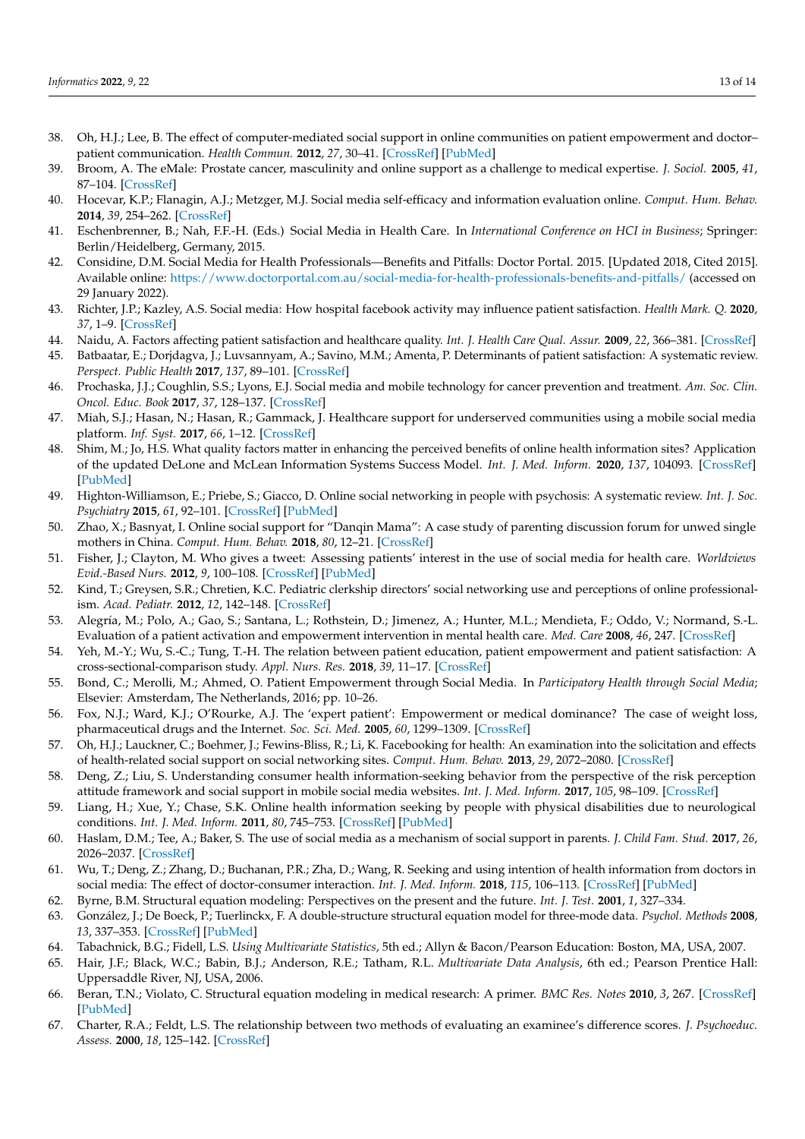- <span id="page-12-0"></span>38. Oh, H.J.; Lee, B. The effect of computer-mediated social support in online communities on patient empowerment and doctor– patient communication. *Health Commun.* **2012**, *27*, 30–41. [\[CrossRef\]](http://doi.org/10.1080/10410236.2011.567449) [\[PubMed\]](http://www.ncbi.nlm.nih.gov/pubmed/21797714)
- <span id="page-12-1"></span>39. Broom, A. The eMale: Prostate cancer, masculinity and online support as a challenge to medical expertise. *J. Sociol.* **2005**, *41*, 87–104. [\[CrossRef\]](http://doi.org/10.1177/1440783305050965)
- <span id="page-12-2"></span>40. Hocevar, K.P.; Flanagin, A.J.; Metzger, M.J. Social media self-efficacy and information evaluation online. *Comput. Hum. Behav.* **2014**, *39*, 254–262. [\[CrossRef\]](http://doi.org/10.1016/j.chb.2014.07.020)
- 41. Eschenbrenner, B.; Nah, F.F.-H. (Eds.) Social Media in Health Care. In *International Conference on HCI in Business*; Springer: Berlin/Heidelberg, Germany, 2015.
- <span id="page-12-3"></span>42. Considine, D.M. Social Media for Health Professionals—Benefits and Pitfalls: Doctor Portal. 2015. [Updated 2018, Cited 2015]. Available online: <https://www.doctorportal.com.au/social-media-for-health-professionals-benefits-and-pitfalls/> (accessed on 29 January 2022).
- <span id="page-12-4"></span>43. Richter, J.P.; Kazley, A.S. Social media: How hospital facebook activity may influence patient satisfaction. *Health Mark. Q.* **2020**, *37*, 1–9. [\[CrossRef\]](http://doi.org/10.1080/07359683.2020.1713573)
- <span id="page-12-5"></span>44. Naidu, A. Factors affecting patient satisfaction and healthcare quality. *Int. J. Health Care Qual. Assur.* **2009**, *22*, 366–381. [\[CrossRef\]](http://doi.org/10.1108/09526860910964834)
- <span id="page-12-6"></span>Batbaatar, E.; Dorjdagva, J.; Luvsannyam, A.; Savino, M.M.; Amenta, P. Determinants of patient satisfaction: A systematic review. *Perspect. Public Health* **2017**, *137*, 89–101. [\[CrossRef\]](http://doi.org/10.1177/1757913916634136)
- <span id="page-12-7"></span>46. Prochaska, J.J.; Coughlin, S.S.; Lyons, E.J. Social media and mobile technology for cancer prevention and treatment. *Am. Soc. Clin. Oncol. Educ. Book* **2017**, *37*, 128–137. [\[CrossRef\]](http://doi.org/10.1200/EDBK_173841)
- <span id="page-12-8"></span>47. Miah, S.J.; Hasan, N.; Hasan, R.; Gammack, J. Healthcare support for underserved communities using a mobile social media platform. *Inf. Syst.* **2017**, *66*, 1–12. [\[CrossRef\]](http://doi.org/10.1016/j.is.2017.01.001)
- <span id="page-12-9"></span>48. Shim, M.; Jo, H.S. What quality factors matter in enhancing the perceived benefits of online health information sites? Application of the updated DeLone and McLean Information Systems Success Model. *Int. J. Med. Inform.* **2020**, *137*, 104093. [\[CrossRef\]](http://doi.org/10.1016/j.ijmedinf.2020.104093) [\[PubMed\]](http://www.ncbi.nlm.nih.gov/pubmed/32078918)
- <span id="page-12-10"></span>49. Highton-Williamson, E.; Priebe, S.; Giacco, D. Online social networking in people with psychosis: A systematic review. *Int. J. Soc. Psychiatry* **2015**, *61*, 92–101. [\[CrossRef\]](http://doi.org/10.1177/0020764014556392) [\[PubMed\]](http://www.ncbi.nlm.nih.gov/pubmed/25381145)
- <span id="page-12-11"></span>50. Zhao, X.; Basnyat, I. Online social support for "Danqin Mama": A case study of parenting discussion forum for unwed single mothers in China. *Comput. Hum. Behav.* **2018**, *80*, 12–21. [\[CrossRef\]](http://doi.org/10.1016/j.chb.2017.10.045)
- <span id="page-12-12"></span>51. Fisher, J.; Clayton, M. Who gives a tweet: Assessing patients' interest in the use of social media for health care. *Worldviews Evid.-Based Nurs.* **2012**, *9*, 100–108. [\[CrossRef\]](http://doi.org/10.1111/j.1741-6787.2012.00243.x) [\[PubMed\]](http://www.ncbi.nlm.nih.gov/pubmed/22432730)
- <span id="page-12-13"></span>52. Kind, T.; Greysen, S.R.; Chretien, K.C. Pediatric clerkship directors' social networking use and perceptions of online professionalism. *Acad. Pediatr.* **2012**, *12*, 142–148. [\[CrossRef\]](http://doi.org/10.1016/j.acap.2011.12.003)
- <span id="page-12-14"></span>53. Alegría, M.; Polo, A.; Gao, S.; Santana, L.; Rothstein, D.; Jimenez, A.; Hunter, M.L.; Mendieta, F.; Oddo, V.; Normand, S.-L. Evaluation of a patient activation and empowerment intervention in mental health care. *Med. Care* **2008**, *46*, 247. [\[CrossRef\]](http://doi.org/10.1097/MLR.0b013e318158af52)
- <span id="page-12-15"></span>54. Yeh, M.-Y.; Wu, S.-C.; Tung, T.-H. The relation between patient education, patient empowerment and patient satisfaction: A cross-sectional-comparison study. *Appl. Nurs. Res.* **2018**, *39*, 11–17. [\[CrossRef\]](http://doi.org/10.1016/j.apnr.2017.10.008)
- <span id="page-12-16"></span>55. Bond, C.; Merolli, M.; Ahmed, O. Patient Empowerment through Social Media. In *Participatory Health through Social Media*; Elsevier: Amsterdam, The Netherlands, 2016; pp. 10–26.
- <span id="page-12-17"></span>56. Fox, N.J.; Ward, K.J.; O'Rourke, A.J. The 'expert patient': Empowerment or medical dominance? The case of weight loss, pharmaceutical drugs and the Internet. *Soc. Sci. Med.* **2005**, *60*, 1299–1309. [\[CrossRef\]](http://doi.org/10.1016/j.socscimed.2004.07.005)
- <span id="page-12-18"></span>57. Oh, H.J.; Lauckner, C.; Boehmer, J.; Fewins-Bliss, R.; Li, K. Facebooking for health: An examination into the solicitation and effects of health-related social support on social networking sites. *Comput. Hum. Behav.* **2013**, *29*, 2072–2080. [\[CrossRef\]](http://doi.org/10.1016/j.chb.2013.04.017)
- <span id="page-12-19"></span>58. Deng, Z.; Liu, S. Understanding consumer health information-seeking behavior from the perspective of the risk perception attitude framework and social support in mobile social media websites. *Int. J. Med. Inform.* **2017**, *105*, 98–109. [\[CrossRef\]](http://doi.org/10.1016/j.ijmedinf.2017.05.014)
- <span id="page-12-20"></span>59. Liang, H.; Xue, Y.; Chase, S.K. Online health information seeking by people with physical disabilities due to neurological conditions. *Int. J. Med. Inform.* **2011**, *80*, 745–753. [\[CrossRef\]](http://doi.org/10.1016/j.ijmedinf.2011.08.003) [\[PubMed\]](http://www.ncbi.nlm.nih.gov/pubmed/21917511)
- <span id="page-12-21"></span>60. Haslam, D.M.; Tee, A.; Baker, S. The use of social media as a mechanism of social support in parents. *J. Child Fam. Stud.* **2017**, *26*, 2026–2037. [\[CrossRef\]](http://doi.org/10.1007/s10826-017-0716-6)
- <span id="page-12-22"></span>61. Wu, T.; Deng, Z.; Zhang, D.; Buchanan, P.R.; Zha, D.; Wang, R. Seeking and using intention of health information from doctors in social media: The effect of doctor-consumer interaction. *Int. J. Med. Inform.* **2018**, *115*, 106–113. [\[CrossRef\]](http://doi.org/10.1016/j.ijmedinf.2018.04.009) [\[PubMed\]](http://www.ncbi.nlm.nih.gov/pubmed/29779712)
- <span id="page-12-23"></span>62. Byrne, B.M. Structural equation modeling: Perspectives on the present and the future. *Int. J. Test.* **2001**, *1*, 327–334.
- <span id="page-12-24"></span>63. González, J.; De Boeck, P.; Tuerlinckx, F. A double-structure structural equation model for three-mode data. *Psychol. Methods* **2008**, *13*, 337–353. [\[CrossRef\]](http://doi.org/10.1037/a0013269) [\[PubMed\]](http://www.ncbi.nlm.nih.gov/pubmed/19071998)
- <span id="page-12-25"></span>64. Tabachnick, B.G.; Fidell, L.S. *Using Multivariate Statistics*, 5th ed.; Allyn & Bacon/Pearson Education: Boston, MA, USA, 2007.
- <span id="page-12-26"></span>65. Hair, J.F.; Black, W.C.; Babin, B.J.; Anderson, R.E.; Tatham, R.L. *Multivariate Data Analysis*, 6th ed.; Pearson Prentice Hall: Uppersaddle River, NJ, USA, 2006.
- <span id="page-12-27"></span>66. Beran, T.N.; Violato, C. Structural equation modeling in medical research: A primer. *BMC Res. Notes* **2010**, *3*, 267. [\[CrossRef\]](http://doi.org/10.1186/1756-0500-3-267) [\[PubMed\]](http://www.ncbi.nlm.nih.gov/pubmed/20969789)
- <span id="page-12-28"></span>67. Charter, R.A.; Feldt, L.S. The relationship between two methods of evaluating an examinee's difference scores. *J. Psychoeduc. Assess.* **2000**, *18*, 125–142. [\[CrossRef\]](http://doi.org/10.1177/073428290001800203)